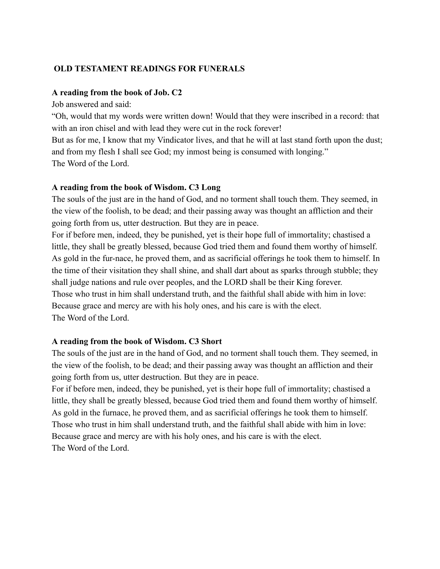# **OLD TESTAMENT READINGS FOR FUNERALS**

### **A reading from the book of Job. C2**

Job answered and said:

"Oh, would that my words were written down! Would that they were inscribed in a record: that with an iron chisel and with lead they were cut in the rock forever!

But as for me, I know that my Vindicator lives, and that he will at last stand forth upon the dust; and from my flesh I shall see God; my inmost being is consumed with longing." The Word of the Lord.

# **A reading from the book of Wisdom. C3 Long**

The souls of the just are in the hand of God, and no torment shall touch them. They seemed, in the view of the foolish, to be dead; and their passing away was thought an affliction and their going forth from us, utter destruction. But they are in peace.

For if before men, indeed, they be punished, yet is their hope full of immortality; chastised a little, they shall be greatly blessed, because God tried them and found them worthy of himself. As gold in the fur-nace, he proved them, and as sacrificial offerings he took them to himself. In the time of their visitation they shall shine, and shall dart about as sparks through stubble; they shall judge nations and rule over peoples, and the LORD shall be their King forever. Those who trust in him shall understand truth, and the faithful shall abide with him in love: Because grace and mercy are with his holy ones, and his care is with the elect. The Word of the Lord.

# **A reading from the book of Wisdom. C3 Short**

The souls of the just are in the hand of God, and no torment shall touch them. They seemed, in the view of the foolish, to be dead; and their passing away was thought an affliction and their going forth from us, utter destruction. But they are in peace.

For if before men, indeed, they be punished, yet is their hope full of immortality; chastised a little, they shall be greatly blessed, because God tried them and found them worthy of himself. As gold in the furnace, he proved them, and as sacrificial offerings he took them to himself. Those who trust in him shall understand truth, and the faithful shall abide with him in love: Because grace and mercy are with his holy ones, and his care is with the elect. The Word of the Lord.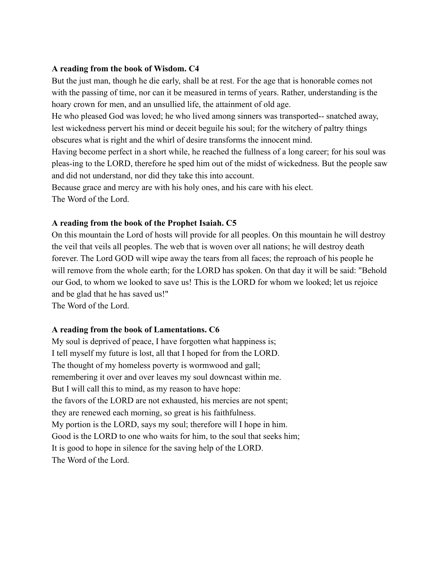### **A reading from the book of Wisdom. C4**

But the just man, though he die early, shall be at rest. For the age that is honorable comes not with the passing of time, nor can it be measured in terms of years. Rather, understanding is the hoary crown for men, and an unsullied life, the attainment of old age.

He who pleased God was loved; he who lived among sinners was transported-- snatched away, lest wickedness pervert his mind or deceit beguile his soul; for the witchery of paltry things obscures what is right and the whirl of desire transforms the innocent mind.

Having become perfect in a short while, he reached the fullness of a long career; for his soul was pleas-ing to the LORD, therefore he sped him out of the midst of wickedness. But the people saw and did not understand, nor did they take this into account.

Because grace and mercy are with his holy ones, and his care with his elect. The Word of the Lord.

# **A reading from the book of the Prophet Isaiah. C5**

On this mountain the Lord of hosts will provide for all peoples. On this mountain he will destroy the veil that veils all peoples. The web that is woven over all nations; he will destroy death forever. The Lord GOD will wipe away the tears from all faces; the reproach of his people he will remove from the whole earth; for the LORD has spoken. On that day it will be said: "Behold our God, to whom we looked to save us! This is the LORD for whom we looked; let us rejoice and be glad that he has saved us!"

The Word of the Lord.

### **A reading from the book of Lamentations. C6**

My soul is deprived of peace, I have forgotten what happiness is; I tell myself my future is lost, all that I hoped for from the LORD. The thought of my homeless poverty is wormwood and gall; remembering it over and over leaves my soul downcast within me. But I will call this to mind, as my reason to have hope: the favors of the LORD are not exhausted, his mercies are not spent; they are renewed each morning, so great is his faithfulness. My portion is the LORD, says my soul; therefore will I hope in him. Good is the LORD to one who waits for him, to the soul that seeks him; It is good to hope in silence for the saving help of the LORD. The Word of the Lord.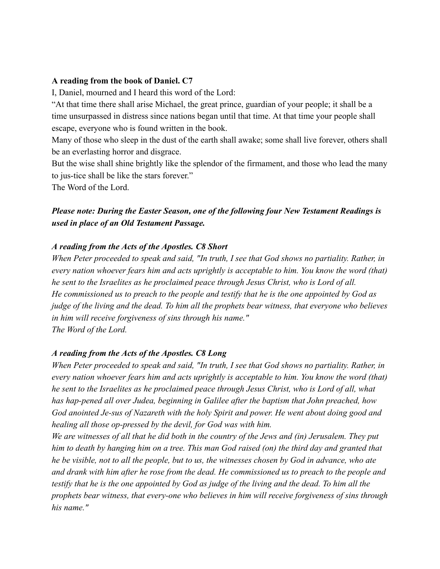### **A reading from the book of Daniel. C7**

I, Daniel, mourned and I heard this word of the Lord:

"At that time there shall arise Michael, the great prince, guardian of your people; it shall be a time unsurpassed in distress since nations began until that time. At that time your people shall escape, everyone who is found written in the book.

Many of those who sleep in the dust of the earth shall awake; some shall live forever, others shall be an everlasting horror and disgrace.

But the wise shall shine brightly like the splendor of the firmament, and those who lead the many to jus-tice shall be like the stars forever."

The Word of the Lord.

# *Please note: During the Easter Season, one of the following four New Testament Readings is used in place of an Old Testament Passage.*

## *A reading from the Acts of the Apostles. C8 Short*

*When Peter proceeded to speak and said, "In truth, I see that God shows no partiality. Rather, in every nation whoever fears him and acts uprightly is acceptable to him. You know the word (that) he sent to the Israelites as he proclaimed peace through Jesus Christ, who is Lord of all. He commissioned us to preach to the people and testify that he is the one appointed by God as judge of the living and the dead. To him all the prophets bear witness, that everyone who believes in him will receive forgiveness of sins through his name." The Word of the Lord.*

### *A reading from the Acts of the Apostles. C8 Long*

*When Peter proceeded to speak and said, "In truth, I see that God shows no partiality. Rather, in every nation whoever fears him and acts uprightly is acceptable to him. You know the word (that) he sent to the Israelites as he proclaimed peace through Jesus Christ, who is Lord of all, what has hap-pened all over Judea, beginning in Galilee after the baptism that John preached, how God anointed Je-sus of Nazareth with the holy Spirit and power. He went about doing good and healing all those op-pressed by the devil, for God was with him.*

*We are witnesses of all that he did both in the country of the Jews and (in) Jerusalem. They put him to death by hanging him on a tree. This man God raised (on) the third day and granted that he be visible, not to all the people, but to us, the witnesses chosen by God in advance, who ate and drank with him after he rose from the dead. He commissioned us to preach to the people and testify that he is the one appointed by God as judge of the living and the dead. To him all the prophets bear witness, that every-one who believes in him will receive forgiveness of sins through his name."*